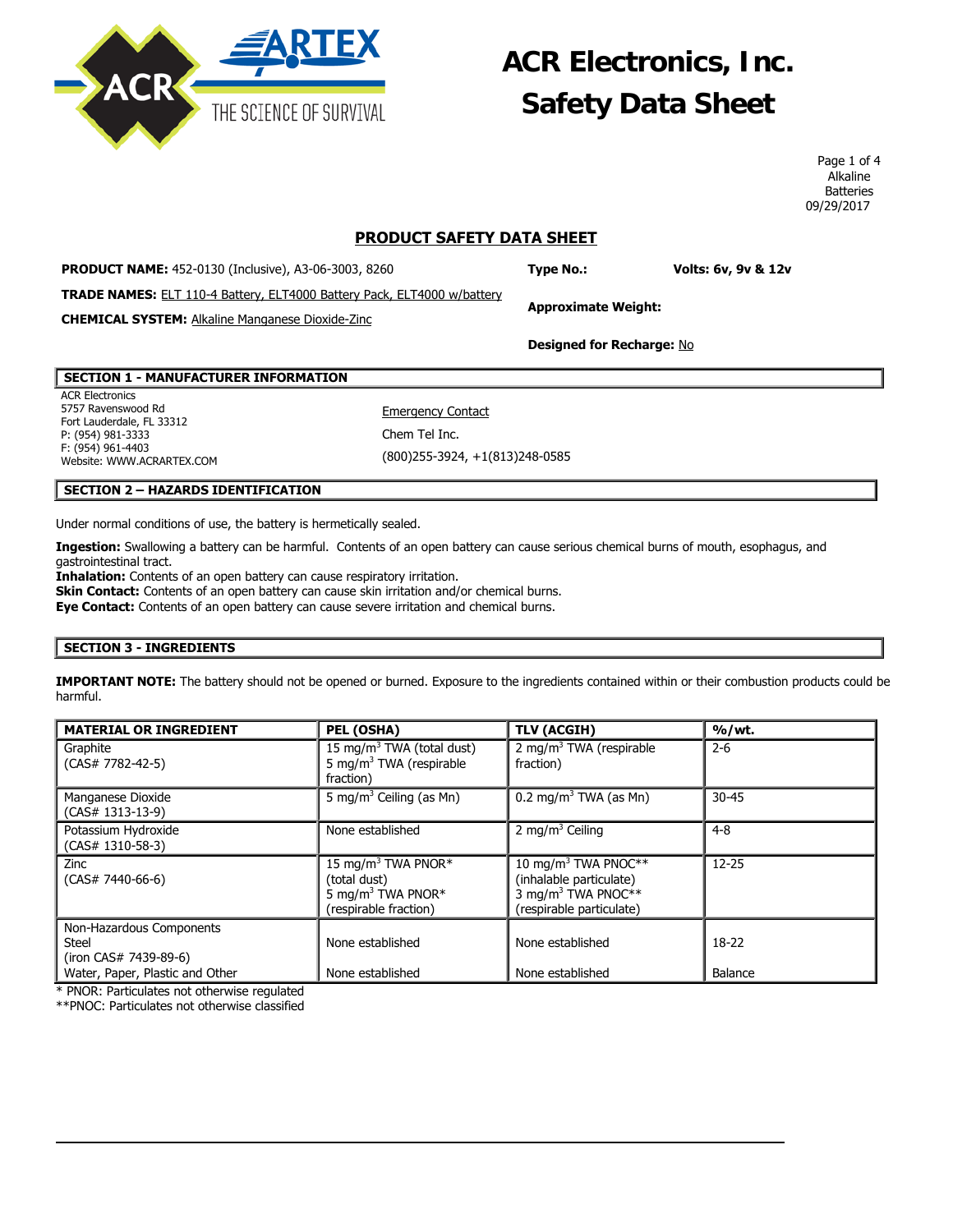**ACR Electronics, Inc. Safety Data Sheet** 

> Page 1 of 4 Alkaline **Batteries** 09/29/2017

## **PRODUCT SAFETY DATA SHEET**

**PRODUCT NAME:** 452-0130 (Inclusive), A3-06-3003, 8260

**Type No.: Volts: 6v, 9v & 12v**

**TRADE NAMES:** ELT 110-4 Battery, ELT4000 Battery Pack, ELT4000 w/battery

**CHEMICAL SYSTEM:** Alkaline Manganese Dioxide-Zinc

**Designed for Recharge:** No

**Approximate Weight:**

## **SECTION 1 - MANUFACTURER INFORMATION**

ACR Electronics 5757 Ravenswood Rd Fort Lauderdale, FL 33312 P: (954) 981-3333 F: (954) 961-4403 Website: WWW.ACRARTEX.COM

**Emergency Contact** Chem Tel Inc. (800)255-3924, +1(813)248-0585

### **SECTION 2 – HAZARDS IDENTIFICATION**

Under normal conditions of use, the battery is hermetically sealed.

**Ingestion:** Swallowing a battery can be harmful. Contents of an open battery can cause serious chemical burns of mouth, esophagus, and gastrointestinal tract.

**Inhalation:** Contents of an open battery can cause respiratory irritation.

**Skin Contact:** Contents of an open battery can cause skin irritation and/or chemical burns.

**Eye Contact:** Contents of an open battery can cause severe irritation and chemical burns.

#### **SECTION 3 - INGREDIENTS**

**IMPORTANT NOTE:** The battery should not be opened or burned. Exposure to the ingredients contained within or their combustion products could be harmful.

| <b>MATERIAL OR INGREDIENT</b>                                                                        | PEL (OSHA)                                                                                               | <b>TLV (ACGIH)</b>                                                                                                       | % / wt.            |
|------------------------------------------------------------------------------------------------------|----------------------------------------------------------------------------------------------------------|--------------------------------------------------------------------------------------------------------------------------|--------------------|
| Graphite<br>$(CAS# 7782-42-5)$                                                                       | 15 mg/m <sup>3</sup> TWA (total dust)<br>5 mg/m <sup>3</sup> TWA (respirable<br>fraction)                | 2 mg/m <sup>3</sup> TWA (respirable<br>fraction)                                                                         | $2 - 6$            |
| Manganese Dioxide<br>$(CAS# 1313-13-9)$                                                              | 5 mg/m <sup>3</sup> Ceiling (as Mn)                                                                      | 0.2 mg/m <sup>3</sup> TWA (as Mn)                                                                                        | $30 - 45$          |
| Potassium Hydroxide<br>$(CAS# 1310-58-3)$                                                            | None established                                                                                         | 2 mg/m <sup>3</sup> Ceiling                                                                                              | $4 - 8$            |
| Zinc<br>$(CAS# 7440-66-6)$                                                                           | 15 mg/m <sup>3</sup> TWA PNOR*<br>(total dust)<br>5 mg/m <sup>3</sup> TWA PNOR*<br>(respirable fraction) | 10 mg/m <sup>3</sup> TWA PNOC**<br>(inhalable particulate)<br>3 mg/m <sup>3</sup> TWA PNOC**<br>(respirable particulate) | $12 - 25$          |
| Non-Hazardous Components<br><b>Steel</b><br>(iron CAS# 7439-89-6)<br>Water, Paper, Plastic and Other | None established<br>None established                                                                     | None established<br>None established                                                                                     | $18-22$<br>Balance |

 $\overline{\phantom{a}}$ 

\* PNOR: Particulates not otherwise regulated

\*\*PNOC: Particulates not otherwise classified

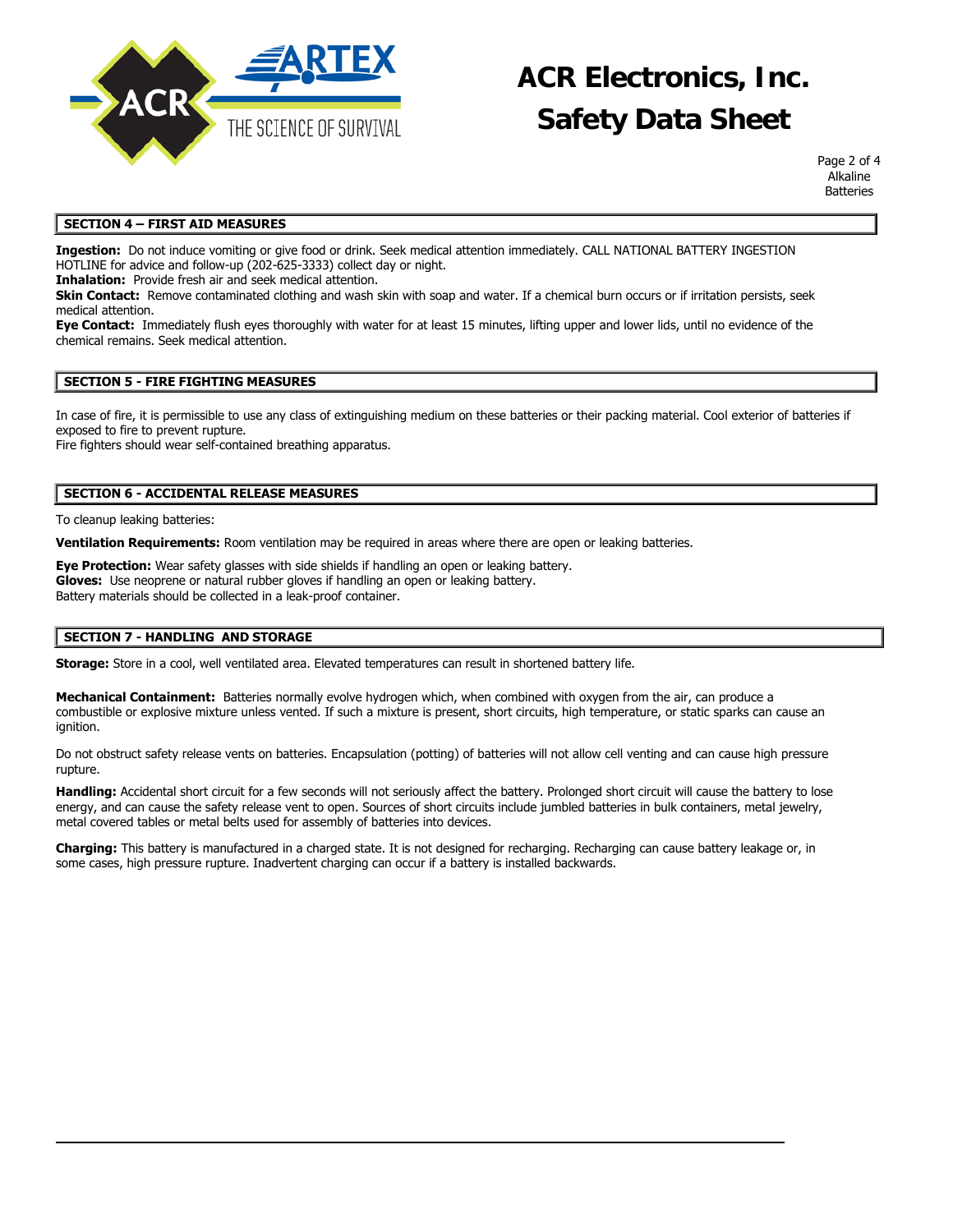

## **ACR Electronics, Inc. Safety Data Sheet**

Page 2 of 4 Alkaline **Batteries** 

### **SECTION 4 – FIRST AID MEASURES**

**Ingestion:** Do not induce vomiting or give food or drink. Seek medical attention immediately. CALL NATIONAL BATTERY INGESTION HOTLINE for advice and follow-up (202-625-3333) collect day or night.

**Inhalation:** Provide fresh air and seek medical attention.

**Skin Contact:** Remove contaminated clothing and wash skin with soap and water. If a chemical burn occurs or if irritation persists, seek medical attention.

**Eye Contact:** Immediately flush eyes thoroughly with water for at least 15 minutes, lifting upper and lower lids, until no evidence of the chemical remains. Seek medical attention.

#### **SECTION 5 - FIRE FIGHTING MEASURES**

In case of fire, it is permissible to use any class of extinguishing medium on these batteries or their packing material. Cool exterior of batteries if exposed to fire to prevent rupture.

Fire fighters should wear self-contained breathing apparatus.

## **SECTION 6 - ACCIDENTAL RELEASE MEASURES**

To cleanup leaking batteries:

**Ventilation Requirements:** Room ventilation may be required in areas where there are open or leaking batteries.

**Eye Protection:** Wear safety glasses with side shields if handling an open or leaking battery. **Gloves:** Use neoprene or natural rubber gloves if handling an open or leaking battery. Battery materials should be collected in a leak-proof container.

#### **SECTION 7 - HANDLING AND STORAGE**

**Storage:** Store in a cool, well ventilated area. Elevated temperatures can result in shortened battery life.

**Mechanical Containment:** Batteries normally evolve hydrogen which, when combined with oxygen from the air, can produce a combustible or explosive mixture unless vented. If such a mixture is present, short circuits, high temperature, or static sparks can cause an ignition.

Do not obstruct safety release vents on batteries. Encapsulation (potting) of batteries will not allow cell venting and can cause high pressure rupture.

**Handling:** Accidental short circuit for a few seconds will not seriously affect the battery. Prolonged short circuit will cause the battery to lose energy, and can cause the safety release vent to open. Sources of short circuits include jumbled batteries in bulk containers, metal jewelry, metal covered tables or metal belts used for assembly of batteries into devices.

**Charging:** This battery is manufactured in a charged state. It is not designed for recharging. Recharging can cause battery leakage or, in some cases, high pressure rupture. Inadvertent charging can occur if a battery is installed backwards.

 $\overline{\phantom{a}}$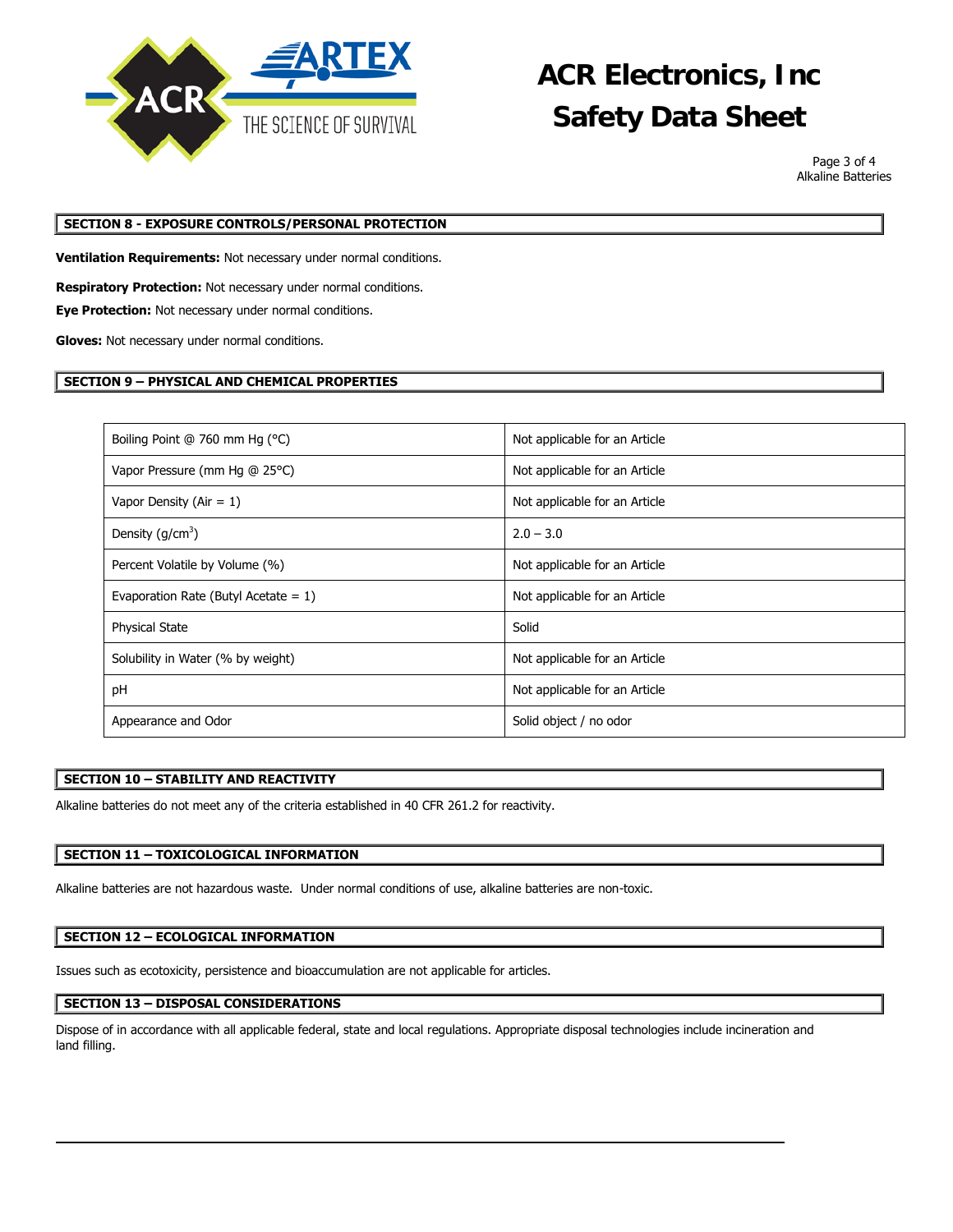

# **ACR Electronics, Inc Safety Data Sheet**

Page 3 of 4 Alkaline Batteries

## **SECTION 8 - EXPOSURE CONTROLS/PERSONAL PROTECTION**

**Ventilation Requirements:** Not necessary under normal conditions.

**Respiratory Protection:** Not necessary under normal conditions.

**Eye Protection:** Not necessary under normal conditions.

**Gloves:** Not necessary under normal conditions.

### **SECTION 9 – PHYSICAL AND CHEMICAL PROPERTIES**

| Boiling Point @ 760 mm Hg (°C)          | Not applicable for an Article |
|-----------------------------------------|-------------------------------|
| Vapor Pressure (mm Hg @ 25°C)           | Not applicable for an Article |
| Vapor Density (Air = $1$ )              | Not applicable for an Article |
| Density $(g/cm3)$                       | $2.0 - 3.0$                   |
| Percent Volatile by Volume (%)          | Not applicable for an Article |
| Evaporation Rate (Butyl Acetate = $1$ ) | Not applicable for an Article |
| <b>Physical State</b>                   | Solid                         |
| Solubility in Water (% by weight)       | Not applicable for an Article |
| pH                                      | Not applicable for an Article |
| Appearance and Odor                     | Solid object / no odor        |

#### **SECTION 10 – STABILITY AND REACTIVITY**

Alkaline batteries do not meet any of the criteria established in 40 CFR 261.2 for reactivity.

#### **SECTION 11 – TOXICOLOGICAL INFORMATION**

Alkaline batteries are not hazardous waste. Under normal conditions of use, alkaline batteries are non-toxic.

#### **SECTION 12 – ECOLOGICAL INFORMATION**

Issues such as ecotoxicity, persistence and bioaccumulation are not applicable for articles.

## **SECTION 13 – DISPOSAL CONSIDERATIONS**

Dispose of in accordance with all applicable federal, state and local regulations. Appropriate disposal technologies include incineration and land filling.

 $\overline{\phantom{a}}$